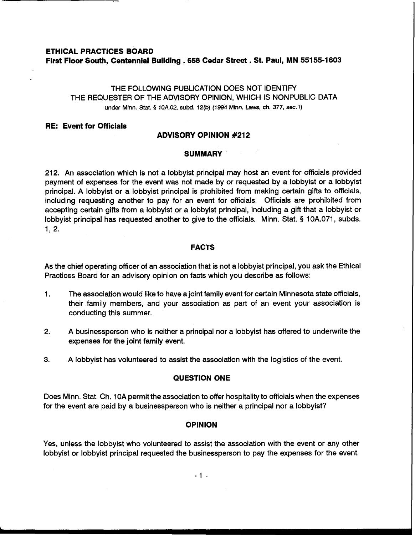# **ETHICAL PRACTICES BOARD First Floor South, Centennial Building .658 Cedar Street** . **St. Paul, MN 55155-1603**

# THE FOLLOWING PUBLICATION DOES NOT IDENTIFY THE REQUESTER OF THE ADVISORY OPINION, WHICH IS NONPUBLIC DATA under Minn. Stat. **5 10A.02, subd. 12(b) (1994 Minn. Laws, ch. 377, sec.1)**

## **RE: Event for Officials**

# **ADVISORY OPINION #212**

### **SUMMARY**

212. An association which is not a lobbyist principal may host an event for officials provided payment of expenses for the event was not made by or requested by a lobbyist or a lobbyist principal. A lobbyist or a lobbyist principal is prohibited from making certain gifts to officials, including requesting another to pay for an event for officials. Officials are prohibited from accepting certain gifts from a lobbyist or a lobbyist principal, including a gift that a lobbyist or lobbyist principal has requested another to give to the officials. Minn. Stat. § 10A.071, subds. 1, 2.

### **FACTS**

As the chief operating officer of an association that is not a lobbyist principal, you ask the Ethical Practices Board for an advisory opinion on facts which you describe as follows:

- 1. The association would like to have a joint family event for certain Minnesota state officials, their family members, and your association as part of an event your association is conducting this summer.
- 2. A businessperson who is neither a principal nor a lobbyist has offered to underwrite the expenses for the joint family event.
- **3.** A lobbyist has volunteered to assist the association with the logistics of the event.

### **QUESTION ONE**

Does Minn. Stat. Ch. 1 OA permit the association to offer hospitality to officials when the expenses for the event are paid by a businessperson who is neither a principal nor a lobbyist?

## **OPINION**

Yes, unless the lobbyist who volunteered to assist the association with the event or any other lobbyist or lobbyist principal requested the businessperson to pay the expenses for the event.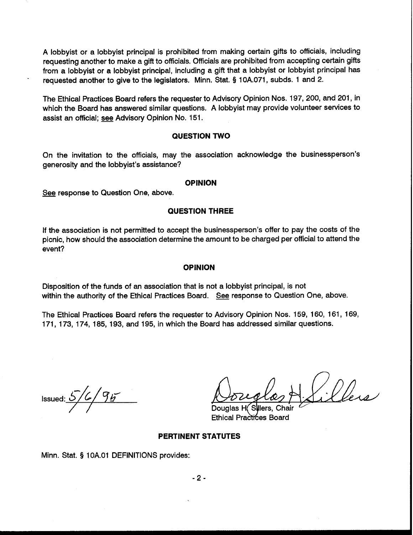A lobbyist or a lobbyist principal is prohibited from making certain gifts to officials, including requesting another to make a gift to officials. Officials are prohibited from accepting certain gifts from a lobbyist or a lobbyist principal, including a gift that a lobbyist or lobbyist principal has requested another to give to the legislators. Minn. Stat. **3** 10A.071, subds. 1 and 2.

The Ethical Practices Board refers the requester to Advisory Opinion Nos. 197, 200, and 201, in which the Board has answered similar questions. A lobbyist may provide volunteer services to assist an official; *see* Advisory Opinion No. 151 .

#### **QUESTION TWO**

On the invitation to the officials, may the association acknowledge the businessperson's generosity and the lobbyist's assistance?<br>See response to Question One, above.

#### **OPINION**

#### **QUESTION THREE**

If the association is not permitted to accept the businessperson's offer to pay the costs of the picnic, how should the association determine the amount to be charged per official to attend the event?

#### **OPINION**

Disposition of the funds of an association that is not a lobbyist principal, is not within the authority of the Ethical Practices Board. See response to Question One, above.

The Ethical Practices Board refers the requester to Advisory Opinion Nos. 159, 160, 161, 169, 171, 173, 174, 185, 193, and 195, in which the Board has addressed similar questions.

Issued:  $5/6/95$ 

Ethical Practices Board

#### **PERTINENT STATUTES**

Minn. Stat. **9** 1 OA.O1 DEFINITIONS provides:

 $-2-$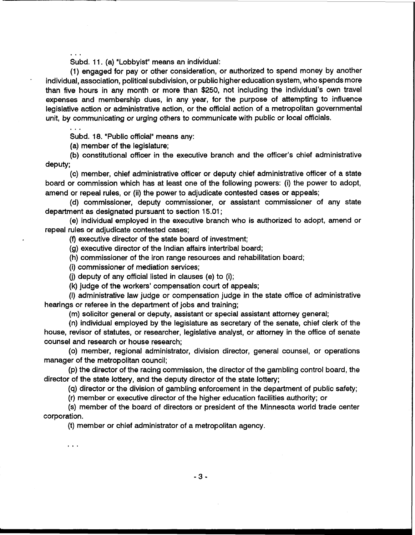Subd. 11. (a) "Lobbyist" means an individual:

(1) engaged for pay or other consideration, or authorized to spend money by another individual, association, political subdivision, or public higher education system, who spends more than five hours in any month or more than \$250, not including the individual's own travel expenses and membership dues, in any year, for the purpose of attempting to influence legislative action or administrative action, or the official action of a metropolitan governmental unit, by communicating or urging others to communicate with public or local officials.

. . .

 $\cdots$ 

. . .

Subd. 18. "Public official" means any:

(a) member of the legislature;

(b) constitutional officer in the executive branch and the officer's chief administrative deputy;

(c) member, chief administrative officer or deputy chief administrative officer of a state board or commission which has at least one of the following powers: (i) the power to adopt, amend or repeal rules, or (ii) the power to adjudicate contested cases or appeals;

(d) commissioner, deputy commissioner, or assistant commissioner of any state department as designated pursuant to section 15.01 ;

(e) individual employed in the executive branch who is authorized to adopt, amend or repeal rules or adjudicate contested cases;

(f) executive director of the state board of investment;

(g) executive director of the Indian affairs intertribal board;

(h) commissioner of the iron range resources and rehabilitation board;

(i) commissioner of mediation services;

**(j)** deputy of any official listed in clauses (e) to (i);

(k) judge of the workers' compensation court of appeals;

(I) administrative law judge or compensation judge in the state office of administrative hearings or referee in the department of jobs and training;

(m) solicitor general or deputy, assistant or special assistant attorney general;

(n) individual employed by the legislature as secretary of the senate, chief clerk of the house, revisor of statutes, or researcher, legislative analyst, or attorney in the office of senate counsel and research or house research;

(0) member, regional administrator, division director, general counsel, or operations manager of the metropolitan council;

(p) the director of the racing commission, the director of the gambling control board, the director of the state lottery, and the deputy director of the state lottery;

(q) director or the division of gambling enforcement in the department of public safety;

(r) member or executive director of the higher education facilities authority; or

(s) member of the board of directors or president of the Minnesota world trade center corporation.

(t) member or chief administrator of a metropolitan agency.

 $-3-$